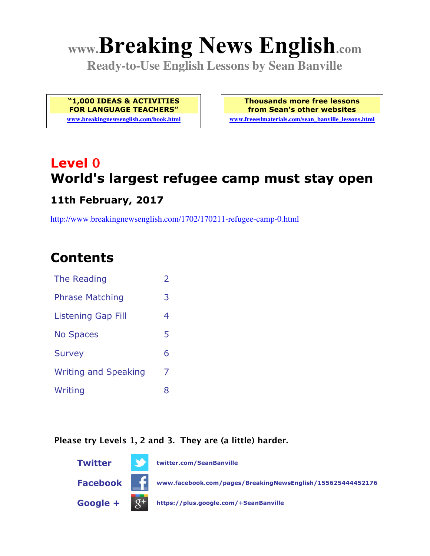# **www.Breaking News English.com**

**Ready-to-Use English Lessons by Sean Banville**

**"1,000 IDEAS & ACTIVITIES FOR LANGUAGE TEACHERS"**

**www.breakingnewsenglish.com/book.html**

**Thousands more free lessons from Sean's other websites www.freeeslmaterials.com/sean\_banville\_lessons.html**

## **Level 0 World's largest refugee camp must stay open**

#### **11th February, 2017**

http://www.breakingnewsenglish.com/1702/170211-refugee-camp-0.html

### **Contents**

| The Reading                 | $\overline{2}$ |
|-----------------------------|----------------|
| <b>Phrase Matching</b>      | 3              |
| <b>Listening Gap Fill</b>   | 4              |
| <b>No Spaces</b>            | 5              |
| <b>Survey</b>               | 6              |
| <b>Writing and Speaking</b> | 7              |
| Writing                     | 8              |

#### **Please try Levels 1, 2 and 3. They are (a little) harder.**

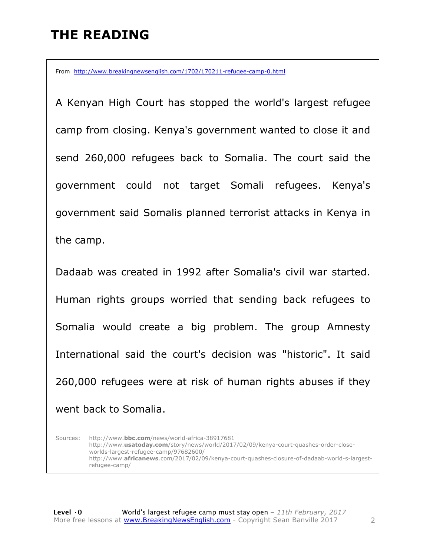### **THE READING**

From http://www.breakingnewsenglish.com/1702/170211-refugee-camp-0.html

A Kenyan High Court has stopped the world's largest refugee camp from closing. Kenya's government wanted to close it and send 260,000 refugees back to Somalia. The court said the government could not target Somali refugees. Kenya's government said Somalis planned terrorist attacks in Kenya in the camp.

Dadaab was created in 1992 after Somalia's civil war started. Human rights groups worried that sending back refugees to Somalia would create a big problem. The group Amnesty International said the court's decision was "historic". It said 260,000 refugees were at risk of human rights abuses if they went back to Somalia.

Sources: http://www.**bbc.com**/news/world-africa-38917681 http://www.**usatoday.com**/story/news/world/2017/02/09/kenya-court-quashes-order-closeworlds-largest-refugee-camp/97682600/ http://www.**africanews**.com/2017/02/09/kenya-court-quashes-closure-of-dadaab-world-s-largestrefugee-camp/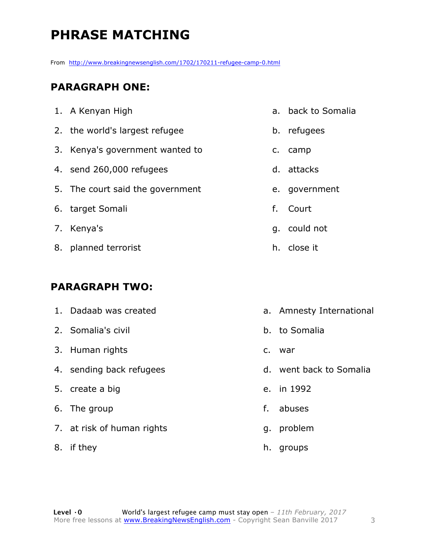### **PHRASE MATCHING**

From http://www.breakingnewsenglish.com/1702/170211-refugee-camp-0.html

#### **PARAGRAPH ONE:**

| 1. A Kenyan High                 |    | a. back to Somalia |
|----------------------------------|----|--------------------|
| 2. the world's largest refugee   |    | b. refugees        |
| 3. Kenya's government wanted to  |    | c. camp            |
| 4. send 260,000 refugees         |    | d. attacks         |
| 5. The court said the government |    | e. government      |
| 6. target Somali                 | f. | Court              |
| 7. Kenya's                       |    | q. could not       |
| 8. planned terrorist             |    | h. close it        |
|                                  |    |                    |

#### **PARAGRAPH TWO:**

| 1. Dadaab was created      |    | a. Amnesty International |
|----------------------------|----|--------------------------|
| 2. Somalia's civil         |    | b. to Somalia            |
| 3. Human rights            | C. | war                      |
| 4. sending back refugees   |    | d. went back to Somalia  |
| 5. create a big            |    | e. in 1992               |
| 6. The group               | f. | abuses                   |
| 7. at risk of human rights | g. | problem                  |
|                            |    |                          |

8. if they

h. groups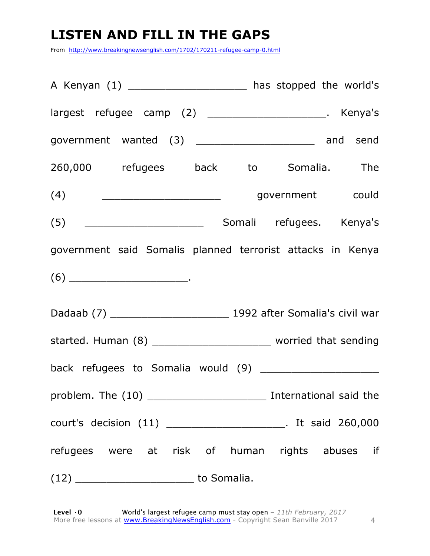### **LISTEN AND FILL IN THE GAPS**

From http://www.breakingnewsenglish.com/1702/170211-refugee-camp-0.html

| A Kenyan $(1)$ __________________________ has stopped the world's  |  |  |  |
|--------------------------------------------------------------------|--|--|--|
| largest refugee camp (2) ______________________. Kenya's           |  |  |  |
| government wanted (3) __________________________ and send          |  |  |  |
| 260,000 refugees back to Somalia. The                              |  |  |  |
|                                                                    |  |  |  |
|                                                                    |  |  |  |
| government said Somalis planned terrorist attacks in Kenya         |  |  |  |
| $(6) \qquad \qquad \overbrace{\qquad \qquad }^{(6)}$               |  |  |  |
|                                                                    |  |  |  |
| started. Human (8) __________________________ worried that sending |  |  |  |
|                                                                    |  |  |  |
| problem. The (10) _________________________ International said the |  |  |  |
| court's decision (11) _________________________. It said 260,000   |  |  |  |
| refugees were at risk of human rights abuses if                    |  |  |  |
|                                                                    |  |  |  |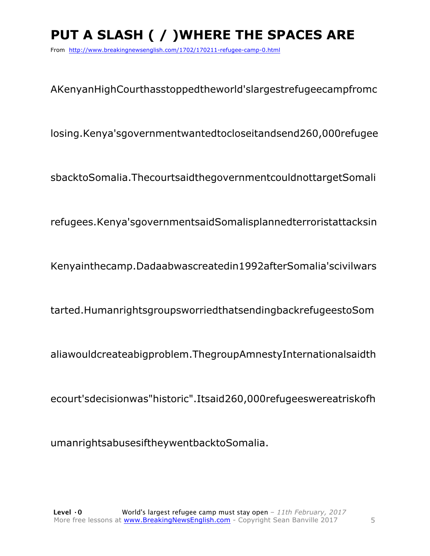### **PUT A SLASH ( / )WHERE THE SPACES ARE**

From http://www.breakingnewsenglish.com/1702/170211-refugee-camp-0.html

AKenyanHighCourthasstoppedtheworld'slargestrefugeecampfromc

losing.Kenya'sgovernmentwantedtocloseitandsend260,000refugee

sbacktoSomalia.ThecourtsaidthegovernmentcouldnottargetSomali

refugees.Kenya'sgovernmentsaidSomalisplannedterroristattacksin

Kenyainthecamp.Dadaabwascreatedin1992afterSomalia'scivilwars

tarted.HumanrightsgroupsworriedthatsendingbackrefugeestoSom

aliawouldcreateabigproblem.ThegroupAmnestyInternationalsaidth

ecourt'sdecisionwas"historic".Itsaid260,000refugeeswereatriskofh

umanrightsabusesiftheywentbacktoSomalia.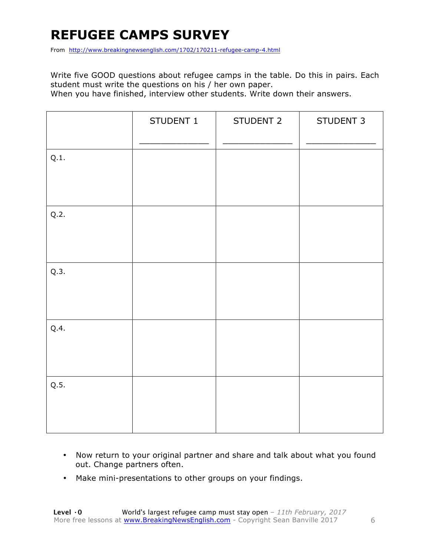### **REFUGEE CAMPS SURVEY**

From http://www.breakingnewsenglish.com/1702/170211-refugee-camp-4.html

Write five GOOD questions about refugee camps in the table. Do this in pairs. Each student must write the questions on his / her own paper.

When you have finished, interview other students. Write down their answers.

|      | STUDENT 1 | STUDENT 2 | STUDENT 3 |
|------|-----------|-----------|-----------|
| Q.1. |           |           |           |
| Q.2. |           |           |           |
| Q.3. |           |           |           |
| Q.4. |           |           |           |
| Q.5. |           |           |           |

- Now return to your original partner and share and talk about what you found out. Change partners often.
- Make mini-presentations to other groups on your findings.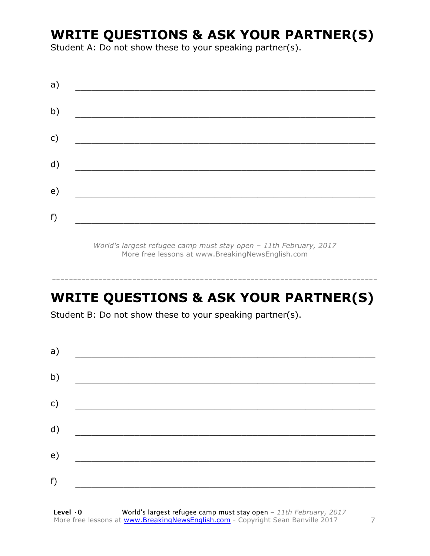### **WRITE QUESTIONS & ASK YOUR PARTNER(S)**

Student A: Do not show these to your speaking partner(s).

| a) |  |  |
|----|--|--|
| b) |  |  |
| c) |  |  |
| d) |  |  |
| e) |  |  |
| f) |  |  |
|    |  |  |

*World's largest refugee camp must stay open – 11th February, 2017* More free lessons at www.BreakingNewsEnglish.com

### **WRITE QUESTIONS & ASK YOUR PARTNER(S)**

-----------------------------------------------------------------------------

Student B: Do not show these to your speaking partner(s).

| a) |  |  |
|----|--|--|
| b) |  |  |
| c) |  |  |
| d) |  |  |
| e) |  |  |
| f) |  |  |
|    |  |  |